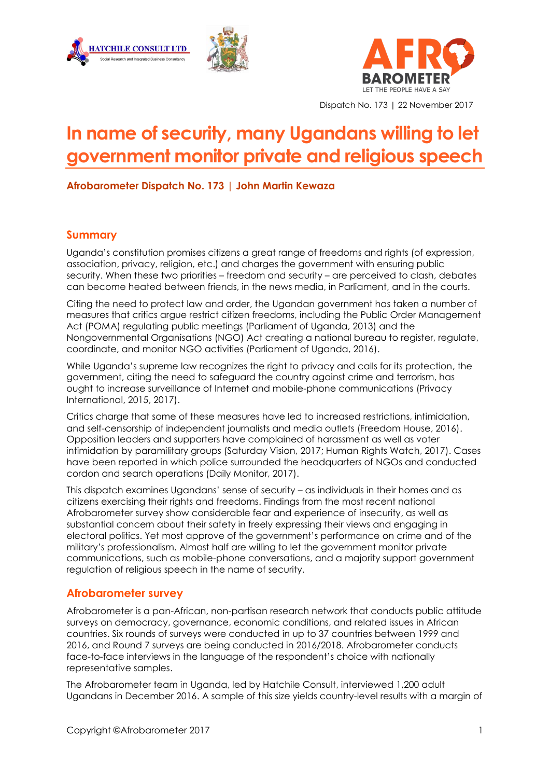





Dispatch No. 173 | 22 November 2017

# **In name of security, many Ugandans willing to let government monitor private and religious speech**

**Afrobarometer Dispatch No. 173 | John Martin Kewaza**

## **Summary**

Uganda's constitution promises citizens a great range of freedoms and rights (of expression, association, privacy, religion, etc.) and charges the government with ensuring public security. When these two priorities – freedom and security – are perceived to clash, debates can become heated between friends, in the news media, in Parliament, and in the courts.

Citing the need to protect law and order, the Ugandan government has taken a number of measures that critics argue restrict citizen freedoms, including the Public Order Management Act (POMA) regulating public meetings (Parliament of Uganda, 2013) and the Nongovernmental Organisations (NGO) Act creating a national bureau to register, regulate, coordinate, and monitor NGO activities (Parliament of Uganda, 2016).

While Uganda's supreme law recognizes the right to privacy and calls for its protection, the government, citing the need to safeguard the country against crime and terrorism, has ought to increase surveillance of Internet and mobile-phone communications (Privacy International, 2015, 2017).

Critics charge that some of these measures have led to increased restrictions, intimidation, and self-censorship of independent journalists and media outlets (Freedom House, 2016). Opposition leaders and supporters have complained of harassment as well as voter intimidation by paramilitary groups (Saturday Vision, 2017; Human Rights Watch, 2017). Cases have been reported in which police surrounded the headquarters of NGOs and conducted cordon and search operations (Daily Monitor, 2017).

This dispatch examines Ugandans' sense of security – as individuals in their homes and as citizens exercising their rights and freedoms. Findings from the most recent national Afrobarometer survey show considerable fear and experience of insecurity, as well as substantial concern about their safety in freely expressing their views and engaging in electoral politics. Yet most approve of the government's performance on crime and of the military's professionalism. Almost half are willing to let the government monitor private communications, such as mobile-phone conversations, and a majority support government regulation of religious speech in the name of security.

## **Afrobarometer survey**

Afrobarometer is a pan-African, non-partisan research network that conducts public attitude surveys on democracy, governance, economic conditions, and related issues in African countries. Six rounds of surveys were conducted in up to 37 countries between 1999 and 2016, and Round 7 surveys are being conducted in 2016/2018. Afrobarometer conducts face-to-face interviews in the language of the respondent's choice with nationally representative samples.

The Afrobarometer team in Uganda, led by Hatchile Consult, interviewed 1,200 adult Ugandans in December 2016. A sample of this size yields country-level results with a margin of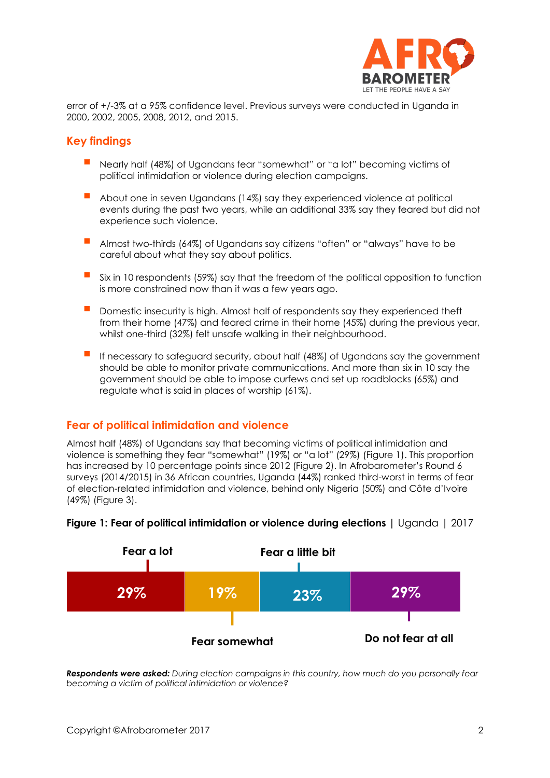

error of +/-3% at a 95% confidence level. Previous surveys were conducted in Uganda in 2000, 2002, 2005, 2008, 2012, and 2015.

#### **Key findings**

- Nearly half (48%) of Ugandans fear "somewhat" or "a lot" becoming victims of political intimidation or violence during election campaigns.
- About one in seven Ugandans (14%) say they experienced violence at political events during the past two years, while an additional 33% say they feared but did not experience such violence.
- Almost two-thirds (64%) of Ugandans say citizens "often" or "always" have to be careful about what they say about politics.
- Six in 10 respondents (59%) say that the freedom of the political opposition to function is more constrained now than it was a few years ago.
- Domestic insecurity is high. Almost half of respondents say they experienced theft from their home (47%) and feared crime in their home (45%) during the previous year, whilst one-third (32%) felt unsafe walking in their neighbourhood.
- If necessary to safeguard security, about half (48%) of Ugandans say the government should be able to monitor private communications. And more than six in 10 say the government should be able to impose curfews and set up roadblocks (65%) and regulate what is said in places of worship (61%).

## **Fear of political intimidation and violence**

Almost half (48%) of Ugandans say that becoming victims of political intimidation and violence is something they fear "somewhat" (19%) or "a lot" (29%) (Figure 1). This proportion has increased by 10 percentage points since 2012 (Figure 2). In Afrobarometer's Round 6 surveys (2014/2015) in 36 African countries, Uganda (44%) ranked third-worst in terms of fear of election-related intimidation and violence, behind only Nigeria (50%) and Côte d'Ivoire (49%) (Figure 3).



#### **Figure 1: Fear of political intimidation or violence during elections |** Uganda | 2017

*Respondents were asked: During election campaigns in this country, how much do you personally fear becoming a victim of political intimidation or violence?*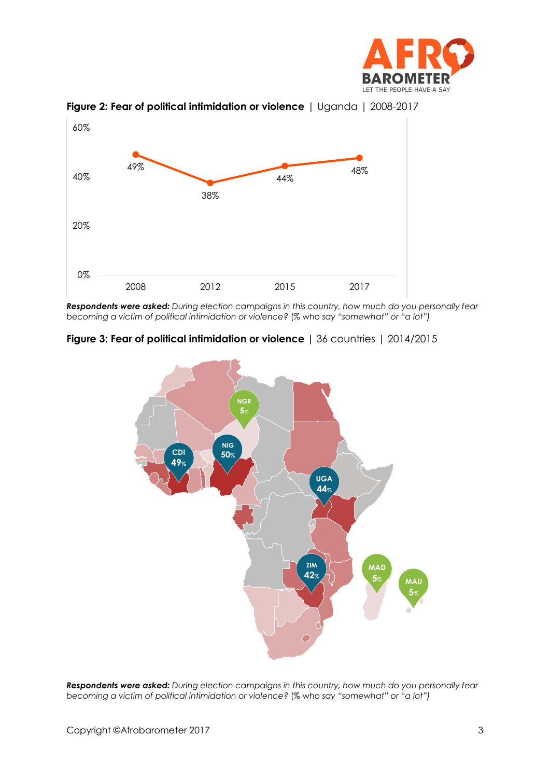



**Figure 2: Fear of political intimidation or violence** | Uganda | 2008-2017

*Respondents were asked: During election campaigns in this country, how much do you personally fear becoming a victim of political intimidation or violence?* (% who *say "somewhat" or "a lot")*





*Respondents were asked: During election campaigns in this country, how much do you personally fear becoming a victim of political intimidation or violence?* (% who *say "somewhat" or "a lot")*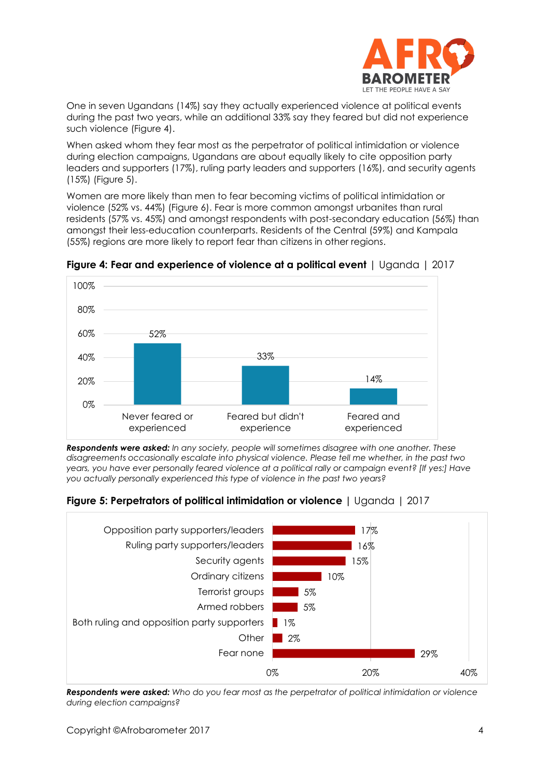

One in seven Ugandans (14%) say they actually experienced violence at political events during the past two years, while an additional 33% say they feared but did not experience such violence (Figure 4).

When asked whom they fear most as the perpetrator of political intimidation or violence during election campaigns, Ugandans are about equally likely to cite opposition party leaders and supporters (17%), ruling party leaders and supporters (16%), and security agents (15%) (Figure 5).

Women are more likely than men to fear becoming victims of political intimidation or violence (52% vs. 44%) (Figure 6). Fear is more common amongst urbanites than rural residents (57% vs. 45%) and amongst respondents with post-secondary education (56%) than amongst their less-education counterparts. Residents of the Central (59%) and Kampala (55%) regions are more likely to report fear than citizens in other regions.



**Figure 4: Fear and experience of violence at a political event** | Uganda | 2017

*Respondents were asked: In any society, people will sometimes disagree with one another. These disagreements occasionally escalate into physical violence. Please tell me whether, in the past two years, you have ever personally feared violence at a political rally or campaign event? [If yes:] Have you actually personally experienced this type of violence in the past two years?* 

**Figure 5: Perpetrators of political intimidation or violence |** Uganda | 2017



*Respondents were asked: Who do you fear most as the perpetrator of political intimidation or violence during election campaigns?*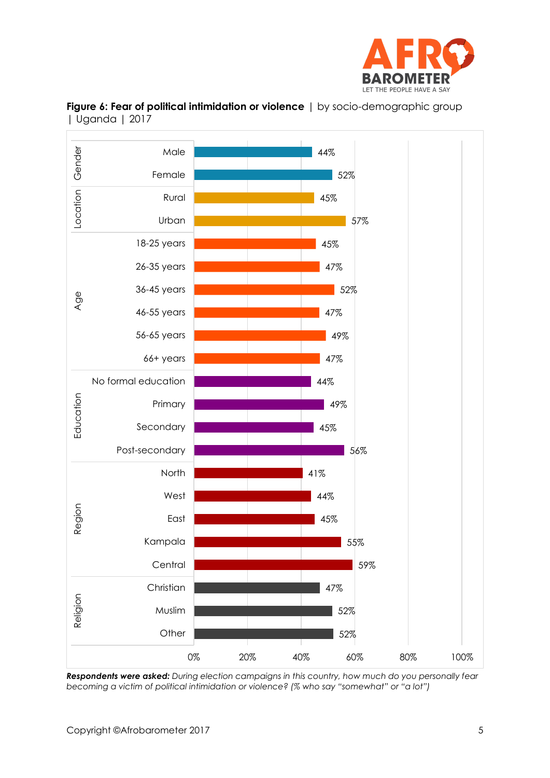



**Figure 6: Fear of political intimidation or violence** | by socio-demographic group | Uganda | 2017

*Respondents were asked: During election campaigns in this country, how much do you personally fear becoming a victim of political intimidation or violence? (% who say "somewhat" or "a lot")*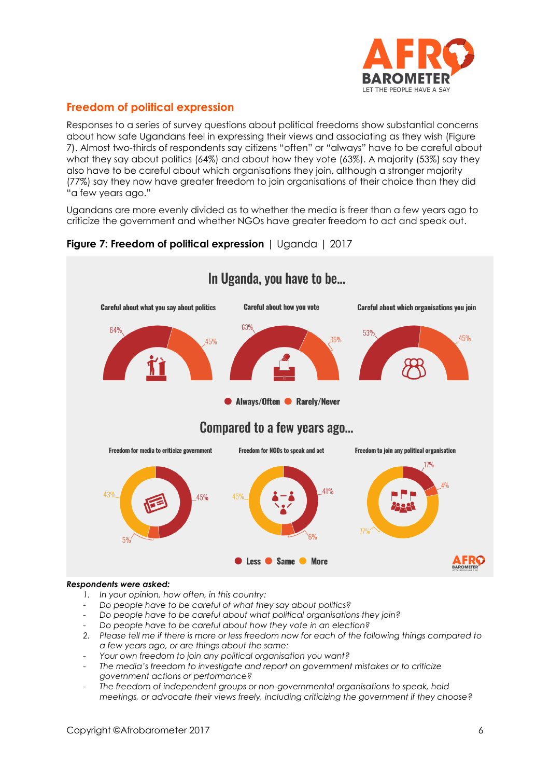

# **Freedom of political expression**

Responses to a series of survey questions about political freedoms show substantial concerns about how safe Ugandans feel in expressing their views and associating as they wish (Figure 7). Almost two-thirds of respondents say citizens "often" or "always" have to be careful about what they say about politics (64%) and about how they vote (63%). A majority (53%) say they also have to be careful about which organisations they join, although a stronger majority (77%) say they now have greater freedom to join organisations of their choice than they did "a few years ago."

Ugandans are more evenly divided as to whether the media is freer than a few years ago to criticize the government and whether NGOs have greater freedom to act and speak out.





#### *Respondents were asked:*

- *1. In your opinion, how often, in this country:*
- *Do people have to be careful of what they say about politics?*
- *Do people have to be careful about what political organisations they join?*
- *Do people have to be careful about how they vote in an election?*
- *2. Please tell me if there is more or less freedom now for each of the following things compared to a few years ago, or are things about the same:*
- *Your own freedom to join any political organisation you want?*
- *The media's freedom to investigate and report on government mistakes or to criticize government actions or performance?*
- *The freedom of independent groups or non-governmental organisations to speak, hold meetings, or advocate their views freely, including criticizing the government if they choose?*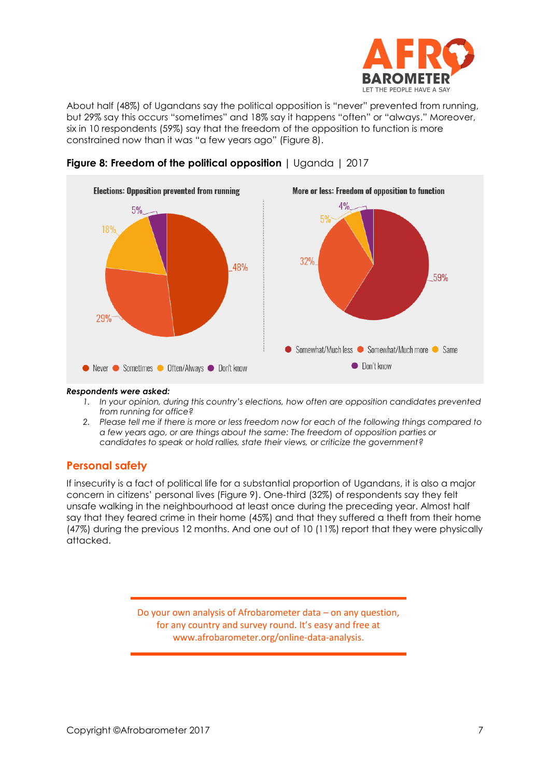

About half (48%) of Ugandans say the political opposition is "never" prevented from running, but 29% say this occurs "sometimes" and 18% say it happens "often" or "always." Moreover, six in 10 respondents (59%) say that the freedom of the opposition to function is more constrained now than it was "a few years ago" (Figure 8).





#### *Respondents were asked:*

- *1. In your opinion, during this country's elections, how often are opposition candidates prevented from running for office?*
- *2. Please tell me if there is more or less freedom now for each of the following things compared to a few years ago, or are things about the same: The freedom of opposition parties or candidates to speak or hold rallies, state their views, or criticize the government?*

## **Personal safety**

If insecurity is a fact of political life for a substantial proportion of Ugandans, it is also a major concern in citizens' personal lives (Figure 9). One-third (32%) of respondents say they felt unsafe walking in the neighbourhood at least once during the preceding year. Almost half say that they feared crime in their home (45%) and that they suffered a theft from their home (47%) during the previous 12 months. And one out of 10 (11%) report that they were physically attacked.

> Do your own analysis of Afrobarometer data – on any question, for any country and survey round. It's easy and free at www.afrobarometer.org/online-data-analysis.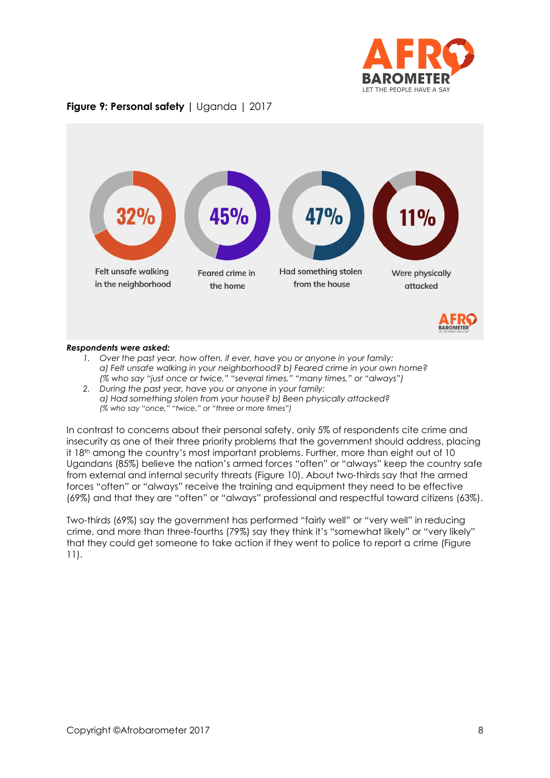

## **Figure 9: Personal safety |** Uganda | 2017



#### *Respondents were asked:*

- *1. Over the past year, how often, if ever, have you or anyone in your family: a) Felt unsafe walking in your neighborhood? b) Feared crime in your own home? (% who say "just once or twice," "several times," "many times," or "always")*
- *2. During the past year, have you or anyone in your family: a) Had something stolen from your house? b) Been physically attacked? (% who say "once," "twice," or "three or more times")*

In contrast to concerns about their personal safety, only 5% of respondents cite crime and insecurity as one of their three priority problems that the government should address, placing it 18<sup>th</sup> among the country's most important problems. Further, more than eight out of 10 Ugandans (85%) believe the nation's armed forces "often" or "always" keep the country safe from external and internal security threats (Figure 10). About two-thirds say that the armed forces "often" or "always" receive the training and equipment they need to be effective (69%) and that they are "often" or "always" professional and respectful toward citizens (63%).

Two-thirds (69%) say the government has performed "fairly well" or "very well" in reducing crime, and more than three-fourths (79%) say they think it's "somewhat likely" or "very likely" that they could get someone to take action if they went to police to report a crime (Figure 11).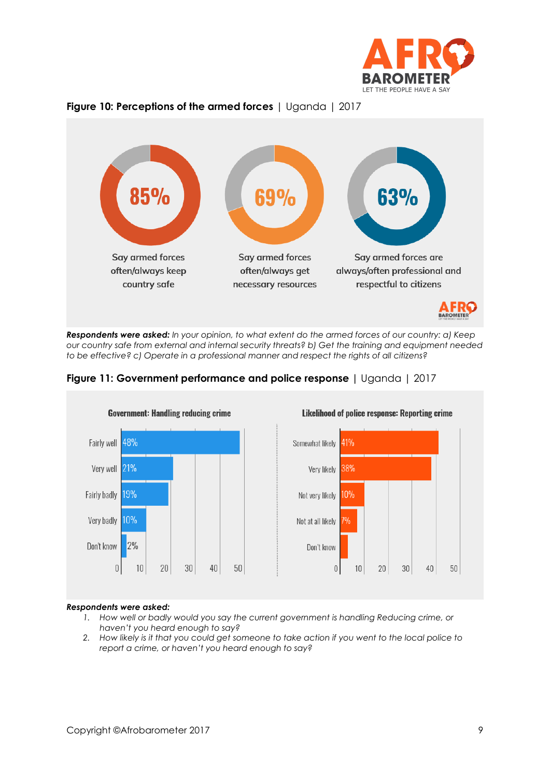





*Respondents were asked: In your opinion, to what extent do the armed forces of our country: a) Keep our country safe from external and internal security threats? b) Get the training and equipment needed to be effective? c) Operate in a professional manner and respect the rights of all citizens?*





#### *Respondents were asked:*

- *1. How well or badly would you say the current government is handling Reducing crime, or haven't you heard enough to say?*
- *2. How likely is it that you could get someone to take action if you went to the local police to report a crime, or haven't you heard enough to say?*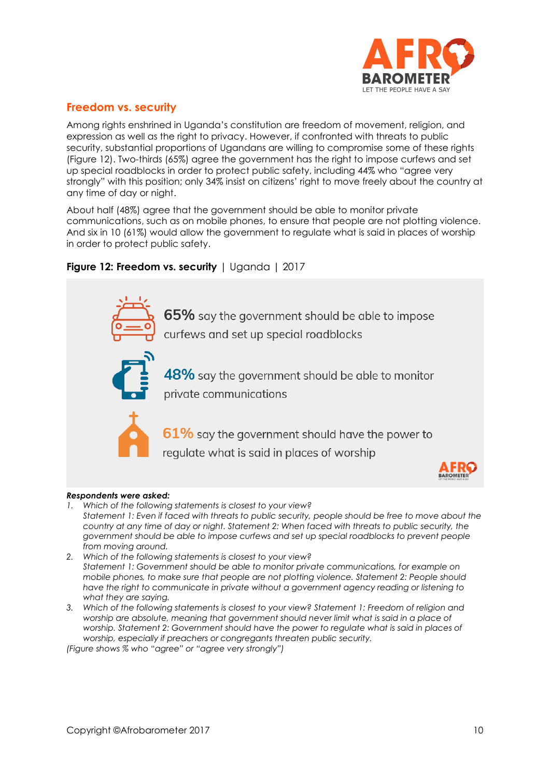

## **Freedom vs. security**

Among rights enshrined in Uganda's constitution are freedom of movement, religion, and expression as well as the right to privacy. However, if confronted with threats to public security, substantial proportions of Ugandans are willing to compromise some of these rights (Figure 12). Two-thirds (65%) agree the government has the right to impose curfews and set up special roadblocks in order to protect public safety, including 44% who "agree very strongly" with this position; only 34% insist on citizens' right to move freely about the country at any time of day or night.

About half (48%) agree that the government should be able to monitor private communications, such as on mobile phones, to ensure that people are not plotting violence. And six in 10 (61%) would allow the government to regulate what is said in places of worship in order to protect public safety.

## **Figure 12: Freedom vs. security** | Uganda | 2017



#### *Respondents were asked:*

- *1. Which of the following statements is closest to your view? Statement 1: Even if faced with threats to public security, people should be free to move about the country at any time of day or night. Statement 2: When faced with threats to public security, the government should be able to impose curfews and set up special roadblocks to prevent people from moving around.*
- *2. Which of the following statements is closest to your view? Statement 1: Government should be able to monitor private communications, for example on mobile phones, to make sure that people are not plotting violence. Statement 2: People should*  have the right to communicate in private without a government agency reading or listening to *what they are saying.*
- *3. Which of the following statements is closest to your view? Statement 1: Freedom of religion and worship are absolute, meaning that government should never limit what is said in a place of worship. Statement 2: Government should have the power to regulate what is said in places of worship, especially if preachers or congregants threaten public security.*

*(Figure shows % who "agree" or "agree very strongly")*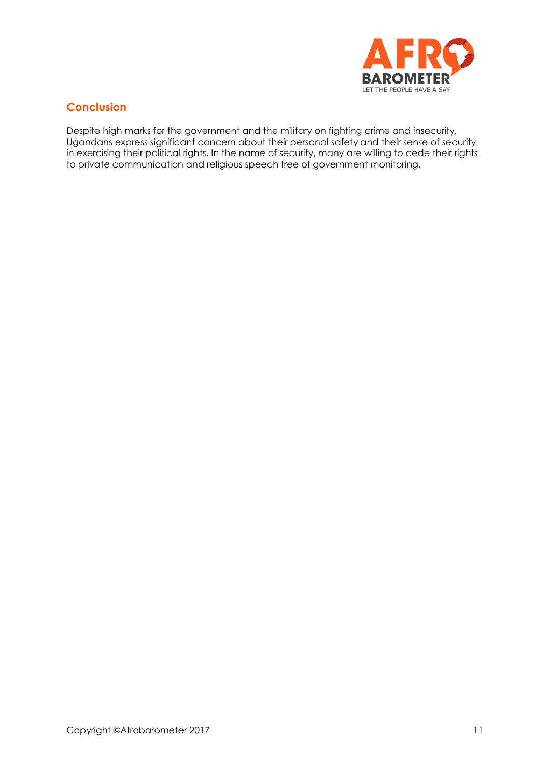

## **Conclusion**

Despite high marks for the government and the military on fighting crime and insecurity, Ugandans express significant concern about their personal safety and their sense of security in exercising their political rights. In the name of security, many are willing to cede their rights to private communication and religious speech free of government monitoring.